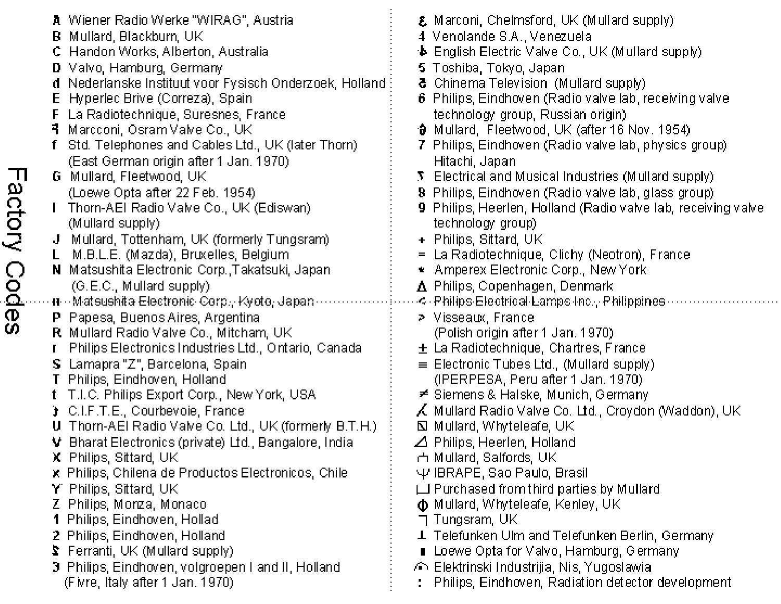- **B** Mullard, Blackburn, UK
- C. Handon Works, Alberton, Australia
- D Valvo, Hamburg, Germany
- d Nederlanske Instituut voor Fysisch Onderzoek, Holland
- E Hyperlec Brive (Correza), Spain
- F La Radiotechnique, Suresnes, France
- 者: Marcconi, Osram Valve Co., UK
- f Std. Telephones and Cables Ltd., UK (later Thorn) (East German origin after 1 Jan. 1970).
- **G** Mullard, Fleetwood, UK (Loewe Opta after 22 Feb. 1954).
- **I** Thorn-AEI Radio Valve Co., UK (Ediswan). (Mullard supply)
- J Mullard, Tottenham, UK (formerly Tungsram)
- L M.B.L.E. (Mazda), Bruxelles, Belgium.
- **N** Matsushita Electronic Corp. Takatsuki, Japan.  $(G.E.C., Multard supply)$
- 
- P. Papesa, Buenos Aires, Argentina
- R. Mullard Radio Valve Co., Mitcham, UK
- r Philips Electronics Industries Ltd., Ontario, Canada.
- S Lamapra "Z", Barcelona, Spain
- T. Philips, Eindhoven, Holland
- t T.I.C. Philips Export Corp., New York, USA
- 3 C.I.F.T.E., Courbevoie, France
- U Thorn-AEI Radio Valve Co. Ltd., UK (formerly B.T.H.)
- V Bharat Electronics (private) Ltd., Bangalore, India
- **X** Philips, Sittard, UK
- x Philips, Chilena de Productos Electronicos, Chile
- Y Philips, Sittard, UK
- Z Philips, Morza, Monaco
- 1 Philips, Eindhoven, Hollad
- 2 Philips, Eindhoven, Holland
- **S** Ferranti, UK (Mullard supply)
- 3 Philips, Eindhoven, volgroepen I and II, Holland (Fivre, Italy after 1 Jan. 1970).
- $\boldsymbol{\xi}$  Marconi, Chelmsford, UK (Mullard supply).
- 4 Venolande S.A., Venezuela
- **A** English Electric Valve Co., UK (Mullard supply).
- 5 Toshiba, Tokyo, Japani
- **&** Chinema Television (Mullard supply)
- 6 Philips, Eindhoven (Radio valve lab, receiving valve technology group, Russian origin)
- **O** Mullard, Fleetwood, UK (after 16 Nov. 1954)
- 7 Philips, Eindhoven (Radio valve lab, physics group). Hitachi, Japan
- $\Sigma$  Electrical and Musical Industries (Mullard supply).
- 8 Philips, Eindhoven (Radio valve lab, glass group)
- 9 Philips, Heerlen, Holland (Radio valve lab, receiving valve technology group)
- + Philips, Sittard, UK
- = La Radiotechnique, Clichy (Neotron), France
- \* Amperex Electronic Corp., New York
- △ Philips, Copenhagen, Denmark
- -4 Philips-Electrical-Lamps-Inc., Philippines -
- > Visseaux, France (Polish origin after 1 Jan. 1970)
- $\pm$  La Radiotechnique, Chartres, France
- $\equiv$  Electronic Tubes Ltd., (Mullard supply) (IPERPESA, Peru after 1 Jan. 1970).
- ≠ Siemens & Halske, Munich, Germany
- $\measuredangle$  Mullard Radio Valve Co. Ltd., Croydon (Waddon), UK
- N Mullard, Whyteleafe, UK
- ⊿ Philips, Heerlen, Holland
- 市 Mullard, Salfords, UK
- U IBRAPE, Sao Paulo, Brasil
- □ Purchased from third parties by Mullard
- **O** Mullard, Whyteleafe, Kenley, UK
- Tungsram, UK
- L Telefunken Ulm and Telefunken Berlin, Germany
- **E** Loewe Opta for Valvo, Hamburg, Germany
- C Elektrinski Industrijia, Nis, Yugoslawia
- : Philips, Eindhoven, Radiation detector development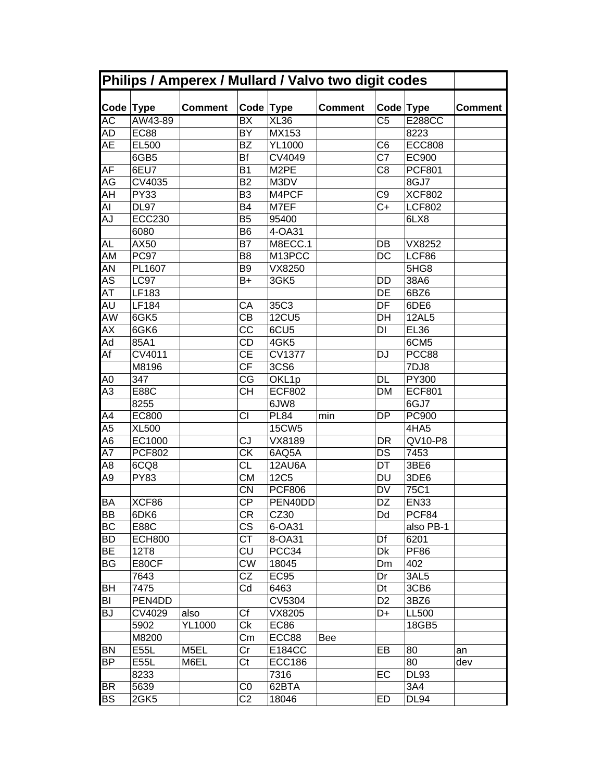| Philips / Amperex / Mullard / Valvo two digit codes |                       |                |                                   |                   |                |                        |                  |                |  |
|-----------------------------------------------------|-----------------------|----------------|-----------------------------------|-------------------|----------------|------------------------|------------------|----------------|--|
| Code Type                                           |                       | <b>Comment</b> | Code Type                         |                   | <b>Comment</b> | Code Type              |                  | <b>Comment</b> |  |
| AC                                                  | AW43-89               |                | $\overline{BX}$                   | XL36              |                | $\overline{\text{C5}}$ | <b>E288CC</b>    |                |  |
| AD                                                  | <b>EC88</b>           |                | <b>BY</b>                         | MX153             |                |                        | 8223             |                |  |
| AE                                                  | EL500                 |                | <b>BZ</b>                         | <b>YL1000</b>     |                | C <sub>6</sub>         | <b>ECC808</b>    |                |  |
|                                                     | 6GB5                  |                | <b>Bf</b>                         | CV4049            |                | C7                     | EC900            |                |  |
| AF                                                  | 6EU7                  |                | B <sub>1</sub>                    | M2PE              |                | C <sub>8</sub>         | <b>PCF801</b>    |                |  |
| ĀG                                                  | CV4035                |                | <b>B2</b>                         | M3DV              |                |                        | 8GJ7             |                |  |
| $A\overline{H}$                                     | <b>PY33</b>           |                | B <sub>3</sub>                    | M4PCF             |                | C <sub>9</sub>         | <b>XCF802</b>    |                |  |
| AI                                                  | <b>DL97</b>           |                | B <sub>4</sub>                    | M7EF              |                | C+                     | <b>LCF802</b>    |                |  |
| AJ                                                  | <b>ECC230</b>         |                | B <sub>5</sub>                    | 95400             |                |                        | 6LX8             |                |  |
|                                                     | 6080                  |                | B <sub>6</sub>                    | 4-OA31            |                |                        |                  |                |  |
| AL                                                  | AX50                  |                | B7                                | M8ECC.1           |                | DB                     | VX8252           |                |  |
| AM                                                  | PC97                  |                | B <sub>8</sub>                    | M13PCC            |                | DC                     | LCF86            |                |  |
| AN                                                  | PL1607                |                | B <sub>9</sub>                    | VX8250            |                |                        | 5HG8             |                |  |
| <b>AS</b>                                           | <b>LC97</b>           |                | $B+$                              | 3GK5              |                | DD                     | 38A6             |                |  |
| AT                                                  | LF183                 |                |                                   |                   |                | DE                     | 6BZ6             |                |  |
| AU                                                  | LF184                 |                | CA                                | 35C3              |                | DF                     | 6DE6             |                |  |
| $\overline{\mathsf{AW}}$                            | 6GK5                  |                | $\overline{CB}$                   | 12CU <sub>5</sub> |                | DH                     | <b>12AL5</b>     |                |  |
| АX                                                  | 6GK6                  |                | <b>CC</b>                         | 6CU <sub>5</sub>  |                | DI                     | <b>EL36</b>      |                |  |
| Ād                                                  | 85A1                  |                | CD                                | 4GK5              |                |                        | 6CM <sub>5</sub> |                |  |
| Af                                                  | CV4011                |                | $\overline{\overline{\text{CE}}}$ | <b>CV1377</b>     |                | DJ                     | PCC88            |                |  |
|                                                     | M8196                 |                | СF                                | 3CS6              |                |                        | 7DJ8             |                |  |
| A0                                                  | 347                   |                | СG                                | OKL1p             |                | DL                     | PY300            |                |  |
| A3                                                  | E88C                  |                | <b>CH</b>                         | <b>ECF802</b>     |                | <b>DM</b>              | <b>ECF801</b>    |                |  |
|                                                     | 8255                  |                |                                   | 6JW8              |                |                        | 6GJ7             |                |  |
| A4                                                  | <b>EC800</b>          |                | CI                                | <b>PL84</b>       | min            | <b>DP</b>              | PC900            |                |  |
| A5                                                  | <b>XL500</b>          |                |                                   | <b>15CW5</b>      |                |                        | 4HA5             |                |  |
| A6                                                  | EC1000                |                | CJ                                | VX8189            |                | DR                     | QV10-P8          |                |  |
| A7                                                  | <b>PCF802</b>         |                | $\overline{\text{CK}}$            | 6AQ5A             |                | DS                     | 7453             |                |  |
| A8                                                  | 6CQ8                  |                | $\overline{\text{CL}}$            | 12AU6A            |                | $\overline{DT}$        | 3BE6             |                |  |
| A9                                                  | <b>PY83</b>           |                | <b>CM</b>                         | <b>12C5</b>       |                | <b>DU</b>              | 3DE6             |                |  |
|                                                     |                       |                | $\overline{\text{CN}}$            | <b>PCF806</b>     |                | DV                     | 75C1             |                |  |
| BA                                                  | XCF86                 |                | <b>CP</b>                         | PEN40DD           |                | DZ                     | <b>EN33</b>      |                |  |
| <b>BB</b>                                           | 6DK6                  |                |                                   | CZ30              |                |                        | PCF84            |                |  |
| BC                                                  | <b>E88C</b>           |                | CR<br><b>CS</b>                   |                   |                | Dd                     | also PB-1        |                |  |
|                                                     |                       |                | <b>CT</b>                         | 6-OA31            |                |                        | 6201             |                |  |
| BD<br><b>BE</b>                                     | <b>ECH800</b><br>12T8 |                |                                   | 8-OA31<br>PCC34   |                | Df                     | <b>PF86</b>      |                |  |
| <b>BG</b>                                           |                       |                | CU<br><b>CW</b>                   |                   |                | Dk                     |                  |                |  |
|                                                     | E80CF                 |                |                                   | 18045             |                | Dm                     | 402              |                |  |
|                                                     | 7643                  |                | CZ                                | EC95              |                | Dr                     | 3AL5             |                |  |
| BH                                                  | 7475                  |                | Cd                                | 6463              |                | Dt                     | 3CB6             |                |  |
| BI                                                  | PEN4DD                |                |                                   | CV5304            |                | D <sub>2</sub>         | 3BZ6             |                |  |
| <b>BJ</b>                                           | CV4029                | also           | Cf                                | VX8205            |                | D+                     | LL500            |                |  |
|                                                     | 5902                  | <b>YL1000</b>  | Ck                                | EC86              |                |                        | 18GB5            |                |  |
|                                                     | M8200                 |                | Cm                                | ECC88             | Bee            |                        |                  |                |  |
| <b>BN</b>                                           | E55L                  | M5EL           | Сr                                | E184CC            |                | EB                     | 80               | an             |  |
| <b>BP</b>                                           | E55L                  | M6EL           | Ct                                | <b>ECC186</b>     |                |                        | 80               | dev            |  |
|                                                     | 8233                  |                |                                   | 7316              |                | EC                     | <b>DL93</b>      |                |  |
| BR                                                  | 5639                  |                | C0                                | 62BTA             |                |                        | 3A4              |                |  |
| <b>BS</b>                                           | 2GK5                  |                | C <sub>2</sub>                    | 18046             |                | ED                     | <b>DL94</b>      |                |  |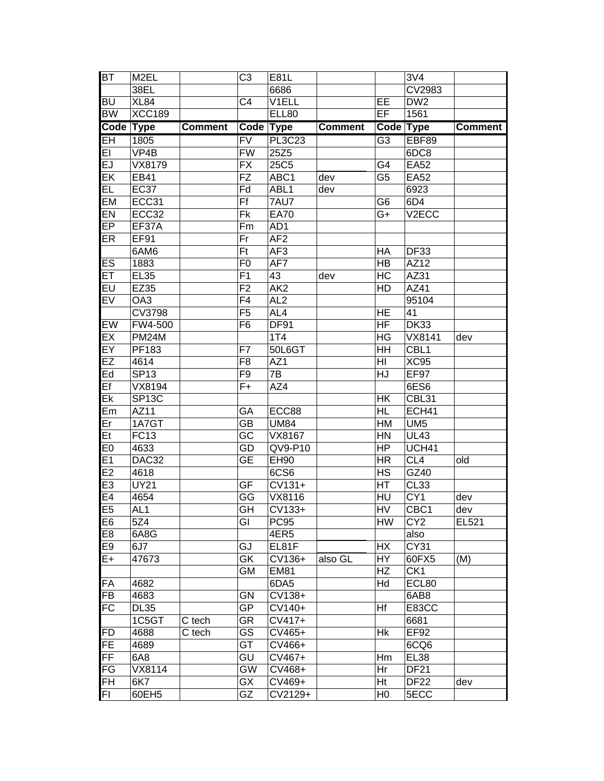| <b>BT</b>                | M <sub>2</sub> EL  |                | C <sub>3</sub>                      | E81L            |                |                                              | 3V4                |                |
|--------------------------|--------------------|----------------|-------------------------------------|-----------------|----------------|----------------------------------------------|--------------------|----------------|
|                          | 38EL               |                |                                     | 6686            |                |                                              | CV2983             |                |
| <b>BU</b>                | XL84               |                | C4                                  | V1ELL           |                | EE                                           | DW <sub>2</sub>    |                |
| <b>BW</b>                | <b>XCC189</b>      |                |                                     | ELL80           |                | EF                                           | 1561               |                |
| Code                     | <b>Type</b>        | <b>Comment</b> | Code Type                           |                 | <b>Comment</b> | Code Type                                    |                    | <b>Comment</b> |
| $\overline{\mathsf{EH}}$ | 1805               |                | <b>FV</b>                           | <b>PL3C23</b>   |                | G3                                           | EBF89              |                |
| $\overline{E}$           | VP4B               |                | FW                                  | 25Z5            |                |                                              | 6DC8               |                |
| EJ                       | VX8179             |                | <b>FX</b>                           | 25C5            |                | G4                                           | EA52               |                |
| EK                       | EB41               |                | <b>FZ</b>                           | ABC1            | dev            | G <sub>5</sub>                               | <b>EA52</b>        |                |
| EL                       | <b>EC37</b>        |                | Fd                                  | ABL1            | dev            |                                              | 6923               |                |
| EM                       | ECC31              |                | Ff                                  | 7AU7            |                | G6                                           | 6D4                |                |
| EN                       | ECC32              |                | Fk                                  | <b>EA70</b>     |                | G+                                           | V <sub>2</sub> ECC |                |
| <b>EP</b>                | EF37A              |                | Fm                                  | AD1             |                |                                              |                    |                |
| ER                       | <b>EF91</b>        |                | Fr                                  | AF <sub>2</sub> |                |                                              |                    |                |
|                          | 6AM6               |                | Ft                                  | AF <sub>3</sub> |                | HA                                           | <b>DF33</b>        |                |
| ES                       | 1883               |                | F <sub>0</sub>                      | AF7             |                | HB                                           | AZ12               |                |
| ET                       | <b>EL35</b>        |                | F <sub>1</sub>                      | 43              | dev            | HC                                           | AZ31               |                |
| $E\overline{U}$          | EZ35               |                | F2                                  | AK2             |                | HD                                           | AZ41               |                |
| $E\sqrt{}$               | OA3                |                | F <sub>4</sub>                      | AIZ             |                |                                              | 95104              |                |
|                          | <b>CV3798</b>      |                | F <sub>5</sub>                      | AL4             |                | <b>HE</b>                                    | 41                 |                |
| EW                       | <b>FW4-500</b>     |                | F <sub>6</sub>                      | <b>DF91</b>     |                | $\overline{HF}$                              | <b>DK33</b>        |                |
| EX                       | PM <sub>24</sub> M |                |                                     | 1T4             |                | HG                                           | VX8141             | dev            |
| $\overline{FY}$          | PF183              |                | F7                                  | 50L6GT          |                | $\overline{\overline{\mathsf{H}}\mathsf{H}}$ | CBL1               |                |
| EZ                       | 4614               |                | F <sub>8</sub>                      | AZ1             |                | HI                                           | <b>XC95</b>        |                |
| Ed                       | <b>SP13</b>        |                | F9                                  | 7В              |                | ΗJ                                           | EF97               |                |
| $\overline{Ef}$          | VX8194             |                | $F+$                                | AZ4             |                |                                              | 6ES6               |                |
| $\overline{\mathsf{Ek}}$ | SP <sub>13</sub> C |                |                                     |                 |                | HK                                           | CBL31              |                |
| Em                       | AZ11               |                | GA                                  | ECC88           |                | <b>HL</b>                                    | ECH41              |                |
| Er                       | 1A7GT              |                | <b>GB</b>                           | <b>UM84</b>     |                | HM                                           | UM <sub>5</sub>    |                |
| Et                       | <b>FC13</b>        |                | GC                                  | VX8167          |                | HN                                           | <b>UL43</b>        |                |
| E <sub>0</sub>           | 4633               |                | GD                                  | QV9-P10         |                | <b>HP</b>                                    | UCH41              |                |
| E1                       | DAC32              |                | $\overline{\overline{\mathsf{GE}}}$ | <b>EH90</b>     |                | <b>HR</b>                                    | CL <sub>4</sub>    | old            |
| E2                       | 4618               |                |                                     | 6CS6            |                | <b>HS</b>                                    | GZ40               |                |
| E3                       | <b>UY21</b>        |                | <b>GF</b>                           | CV131+          |                | HT                                           | CL <sub>33</sub>   |                |
| E <sub>4</sub>           | 4654               |                | GG                                  | VX8116          |                | HU                                           | CY <sub>1</sub>    | dev            |
| E <sub>5</sub>           | AL <sub>1</sub>    |                | GH                                  | CV133+          |                | HV                                           | CBC1               | dev            |
| E <sub>6</sub>           | 5Z4                |                | GI                                  | <b>PC95</b>     |                | HW                                           | CY <sub>2</sub>    | EL521          |
| E <sub>8</sub>           | 6A8G               |                |                                     | 4ER5            |                |                                              | also               |                |
| E <sub>9</sub>           | 6J7                |                | GJ                                  | EL81F           |                | НX                                           | CY31               |                |
| E+                       | 47673              |                | GK                                  | CV136+          | also GL        | HY                                           | 60FX5              | (M)            |
|                          |                    |                | <b>GM</b>                           | <b>EM81</b>     |                | HZ                                           | CK1                |                |
| FA                       | 4682               |                |                                     | 6DA5            |                | Hd                                           | ECL80              |                |
| <b>FB</b>                | 4683               |                | <b>GN</b>                           | CV138+          |                |                                              | 6AB8               |                |
| <b>FC</b>                | <b>DL35</b>        |                | GP                                  | CV140+          |                | Hf                                           | <b>E83CC</b>       |                |
|                          | 1C5GT              | C tech         | GR                                  | CV417+          |                |                                              | 6681               |                |
| <b>FD</b>                | 4688               | C tech         | GS                                  | CV465+          |                | Hk                                           | EF92               |                |
| FE                       | 4689               |                | GT                                  | CV466+          |                |                                              | 6CQ6               |                |
| FF                       | 6A8                |                | GU                                  | CV467+          |                | Hm                                           | EL38               |                |
| FG                       | VX8114             |                | GW                                  | CV468+          |                | Hr                                           | <b>DF21</b>        |                |
| FH                       | 6K7                |                | GX                                  | CV469+          |                | Ht                                           | <b>DF22</b>        | dev            |
| FI                       | 60EH5              |                | GZ                                  | CV2129+         |                | H <sub>0</sub>                               | 5ECC               |                |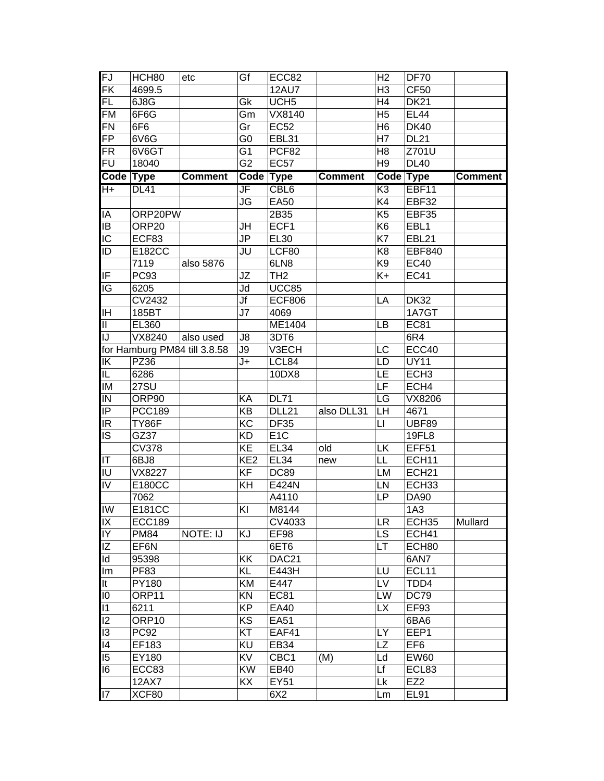| FJ                       | HCH80         | etc                          | Gf                       | ECC82            |                | H <sub>2</sub> | <b>DF70</b>       |                |
|--------------------------|---------------|------------------------------|--------------------------|------------------|----------------|----------------|-------------------|----------------|
| $\overline{\mathsf{FK}}$ | 4699.5        |                              |                          | <b>12AU7</b>     |                | H <sub>3</sub> | <b>CF50</b>       |                |
| $\overline{\mathsf{FL}}$ | 6J8G          |                              | Gk                       | UCH <sub>5</sub> |                | H4             | <b>DK21</b>       |                |
| FM                       | 6F6G          |                              | Gm                       | VX8140           |                | H <sub>5</sub> | <b>EL44</b>       |                |
| <b>FN</b>                | 6F6           |                              | Gr                       | EC <sub>52</sub> |                | H <sub>6</sub> | <b>DK40</b>       |                |
| $\overline{FP}$          | 6V6G          |                              | G0                       | EBL31            |                | H7             | <b>DL21</b>       |                |
| <b>FR</b>                | 6V6GT         |                              | G <sub>1</sub>           | PCF82            |                | H <sub>8</sub> | Z701U             |                |
| FU                       | 18040         |                              | G <sub>2</sub>           | <b>EC57</b>      |                | H <sub>9</sub> | <b>DL40</b>       |                |
| Code                     | <b>Type</b>   | <b>Comment</b>               | <b>Code Type</b>         |                  | <b>Comment</b> | Code Type      |                   | <b>Comment</b> |
| $H_{+}$                  | <b>DL41</b>   |                              | $\overline{\mathsf{JF}}$ | CBL6             |                | K <sub>3</sub> | <b>EBF11</b>      |                |
|                          |               |                              | JG                       | <b>EA50</b>      |                | K4             | EBF32             |                |
| ΙA                       | ORP20PW       |                              |                          | 2B35             |                | K <sub>5</sub> | EBF35             |                |
| IB                       | ORP20         |                              | JH                       | ECF1             |                | K <sub>6</sub> | EBL1              |                |
| IC                       | ECF83         |                              | JP                       | <b>EL30</b>      |                | K7             | EBL21             |                |
| ID                       | E182CC        |                              | JU                       | LCF80            |                | K <sub>8</sub> | <b>EBF840</b>     |                |
|                          | 7119          | also 5876                    |                          | 6LN8             |                | K <sub>9</sub> | <b>EC40</b>       |                |
| IF                       | <b>PC93</b>   |                              | JZ                       | TH <sub>2</sub>  |                | K+             | <b>EC41</b>       |                |
| IG                       | 6205          |                              | Jd                       | UCC85            |                |                |                   |                |
|                          | CV2432        |                              | Jf                       | <b>ECF806</b>    |                | LA             | <b>DK32</b>       |                |
| ΙH                       | 185BT         |                              | J7                       | 4069             |                |                | 1A7GT             |                |
| $\mathbf{II}$            | EL360         |                              |                          | ME1404           |                | LB             | <b>EC81</b>       |                |
| IJ                       | VX8240        | also used                    | J8                       | 3DT6             |                |                | 6R4               |                |
|                          |               | for Hamburg PM84 till 3.8.58 | J9                       | V3ECH            |                | LC             | ECC40             |                |
| ΙK                       | <b>PZ36</b>   |                              | J+                       | LCL84            |                | LD             | <b>UY11</b>       |                |
| IL                       | 6286          |                              |                          | 10DX8            |                | LE             | ECH <sub>3</sub>  |                |
| IM                       | <b>27SU</b>   |                              |                          |                  |                | LF             | ECH4              |                |
| ${\sf IN}$               | ORP90         |                              | KA                       | <b>DL71</b>      |                | LG             | VX8206            |                |
| $\overline{IP}$          | <b>PCC189</b> |                              | KB                       | <b>DLL21</b>     | also DLL31     | LH             | 4671              |                |
| IR                       | TY86F         |                              | KC                       | <b>DF35</b>      |                | LI             | <b>UBF89</b>      |                |
| $\overline{\mathsf{IS}}$ | GZ37          |                              | <b>KD</b>                | E <sub>1</sub> C |                |                | 19FL8             |                |
|                          | <b>CV378</b>  |                              | KE                       | <b>EL34</b>      | old            | LK             | EFF <sub>51</sub> |                |
| IT                       | 6BJ8          |                              | KE <sub>2</sub>          | <b>EL34</b>      | new            | LL             | ECH11             |                |
| IU                       | VX8227        |                              | KF                       | <b>DC89</b>      |                | LM             | ECH <sub>21</sub> |                |
| IV                       | E180CC        |                              | KH                       | E424N            |                | LN             | ECH <sub>33</sub> |                |
|                          | 7062          |                              |                          | A4110            |                | <b>LP</b>      | <b>DA90</b>       |                |
| IW                       | E181CC        |                              | KI                       | M8144            |                |                | 1A3               |                |
| IX                       | <b>ECC189</b> |                              |                          | CV4033           |                | <b>LR</b>      | ECH <sub>35</sub> | Mullard        |
| IY                       | <b>PM84</b>   | <b>NOTE: IJ</b>              | KJ                       | EF98             |                | LS             | ECH41             |                |
| ΙZ                       | EF6N          |                              |                          | 6ET6             |                | LТ             | ECH80             |                |
| Id                       | 95398         |                              | KK                       | DAC21            |                |                | 6AN7              |                |
| Im                       | <b>PF83</b>   |                              | KL                       | E443H            |                | LU             | ECL11             |                |
| It                       | PY180         |                              | KM                       | E447             |                | LV             | TDD4              |                |
| 10                       | ORP11         |                              | KN                       | <b>EC81</b>      |                | LW             | DC79              |                |
| 1                        | 6211          |                              | <b>KP</b>                | <b>EA40</b>      |                | LX             | <b>EF93</b>       |                |
| 12                       | ORP10         |                              | KS                       | <b>EA51</b>      |                |                | 6BA6              |                |
| $\overline{13}$          | <b>PC92</b>   |                              | KT                       | EAF41            |                | LY             | EEP1              |                |
| 4                        | EF183         |                              | KU                       | EB34             |                | LZ             | EF <sub>6</sub>   |                |
| $\overline{5}$           | EY180         |                              | KV                       | CBC1             | (M)            | Ld             | <b>EW60</b>       |                |
| 16                       | ECC83         |                              | <b>KW</b>                | EB40             |                | Lf             | ECL83             |                |
|                          | <b>12AX7</b>  |                              | KX                       | EY51             |                | Lk             | EZ <sub>2</sub>   |                |
| 17                       | XCF80         |                              |                          | 6X2              |                | Lm             | <b>EL91</b>       |                |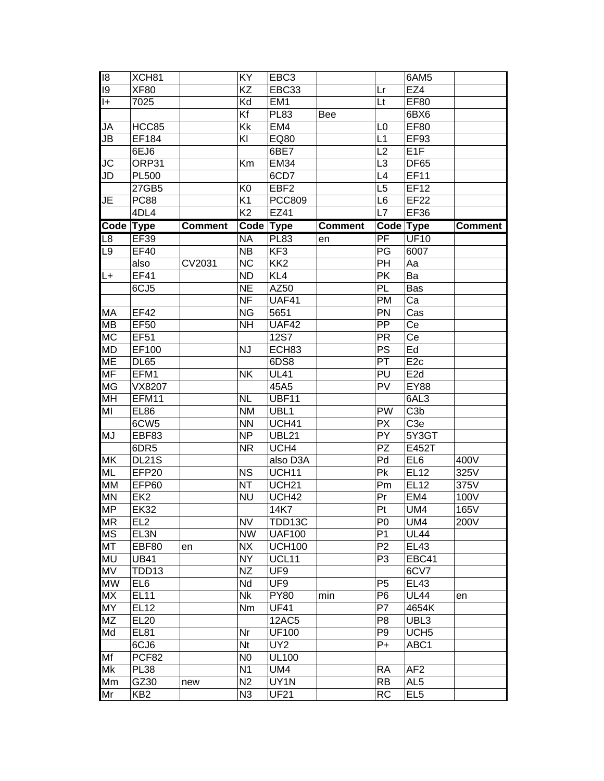| 8                      | XCH81                    |                | KY                     | EBC <sub>3</sub>           |                |                                  | 6AM5                     |                |
|------------------------|--------------------------|----------------|------------------------|----------------------------|----------------|----------------------------------|--------------------------|----------------|
| 19                     | XF80                     |                | $\overline{KZ}$        | EBC33                      |                | Lr                               | EZ4                      |                |
| I+                     | 7025                     |                | Kd                     | EM <sub>1</sub>            |                | Lt                               | <b>EF80</b>              |                |
|                        |                          |                | Kf                     | <b>PL83</b>                | Bee            |                                  | 6BX6                     |                |
| JA                     | HCC85                    |                | Kk                     | EM4                        |                | L <sub>0</sub>                   | <b>EF80</b>              |                |
| JB                     | EF184                    |                | KI                     | EQ80                       |                | L1                               | EF93                     |                |
|                        | 6EJ6                     |                |                        | 6BE7                       |                | L2                               | E <sub>1F</sub>          |                |
| JС                     | ORP31                    |                | Km                     | <b>EM34</b>                |                | L3                               | <b>DF65</b>              |                |
| JD                     | <b>PL500</b>             |                |                        | 6CD7                       |                | L4                               | <b>EF11</b>              |                |
|                        | 27GB5                    |                | K <sub>0</sub>         | EBF <sub>2</sub>           |                | L <sub>5</sub>                   | EF12                     |                |
| JE                     | <b>PC88</b>              |                | K <sub>1</sub>         | <b>PCC809</b>              |                | L6                               | <b>EF22</b>              |                |
|                        | 4DL4                     |                | K <sub>2</sub>         | EZ41                       |                | L7                               | <b>EF36</b>              |                |
| Code                   | <b>Type</b>              | <b>Comment</b> | <b>Code</b>            | <b>Type</b>                | <b>Comment</b> | <b>Code Type</b>                 |                          | <b>Comment</b> |
| L8                     | <b>EF39</b>              |                | <b>NA</b>              | <b>PL83</b>                | en             | $\overline{\text{PF}}$           | <b>UF10</b>              |                |
| L <sub>9</sub>         | <b>EF40</b>              |                | <b>NB</b>              | KF3                        |                | PG                               | 6007                     |                |
|                        | also                     | CV2031         | <b>NC</b>              | KK <sub>2</sub>            |                | PH                               | Aa                       |                |
| L+                     | <b>EF41</b>              |                | <b>ND</b>              | KL4                        |                | <b>PK</b>                        | Ba                       |                |
|                        | 6CJ5                     |                | $\overline{\text{NE}}$ | AZ50                       |                | PL                               | Bas                      |                |
|                        |                          |                | N <sub>F</sub>         | UAF41                      |                | PM                               | Ca                       |                |
| МA                     | <b>EF42</b>              |                | <b>NG</b>              | 5651                       |                | PN                               | Cas                      |                |
| <b>MB</b>              | <b>EF50</b>              |                | $\overline{NH}$        | UAF42                      |                | $\overline{PP}$                  | Ce                       |                |
| <b>MC</b>              | <b>EF51</b>              |                |                        | <b>12S7</b>                |                | <b>PR</b>                        | Ce                       |                |
| MD                     | EF100                    |                | <b>NJ</b>              | ECH83                      |                | <b>PS</b>                        | Ed                       |                |
| <b>ME</b>              | <b>DL65</b>              |                |                        | 6DS8                       |                | PT                               | E <sub>2c</sub>          |                |
| <b>MF</b>              | EFM1                     |                | <b>NK</b>              | <b>UL41</b>                |                | $\overline{PU}$                  | E <sub>2d</sub>          |                |
|                        |                          |                |                        |                            |                | PV                               |                          |                |
| MG                     | VX8207                   |                |                        | 45A5                       |                |                                  | <b>EY88</b>              |                |
| MH<br>MI               | EFM11                    |                | <b>NL</b><br><b>NM</b> | UBF11                      |                | <b>PW</b>                        | 6AL3<br>C <sub>3</sub> b |                |
|                        | <b>EL86</b>              |                |                        | UBL1                       |                |                                  |                          |                |
|                        | 6CW <sub>5</sub>         |                | <b>NN</b><br><b>NP</b> | UCH41                      |                | <b>PX</b><br>PY                  | C <sub>3e</sub>          |                |
| MJ                     | EBF83                    |                | <b>NR</b>              | <b>UBL21</b>               |                | <b>PZ</b>                        | 5Y3GT                    |                |
| MK                     | 6DR5<br><b>DL21S</b>     |                |                        | UCH4                       |                | Pd                               | E452T                    | 400V           |
|                        |                          |                |                        | also D3A                   |                |                                  | EL <sub>6</sub>          |                |
| ML                     | EFP20                    |                | <b>NS</b><br><b>NT</b> | UCH11                      |                | Pk                               | <b>EL12</b><br>EL12      | 325V           |
| MM                     | EFP60<br>EK <sub>2</sub> |                | <b>NU</b>              | UCH <sub>21</sub><br>UCH42 |                | Pm                               |                          | 375V           |
| <b>MN</b><br><b>MP</b> |                          |                |                        |                            |                | Pr<br>Pt                         | EM4                      | 100V           |
|                        | <b>EK32</b>              |                |                        | 14K7                       |                |                                  | UM4                      | 165V<br>200V   |
| <b>MR</b><br><b>MS</b> | EL <sub>2</sub><br>EL3N  |                | <b>NV</b><br><b>NW</b> | TDD13C                     |                | P <sub>0</sub>                   | UM4                      |                |
| <b>MT</b>              |                          |                |                        | <b>UAF100</b>              |                | P <sub>1</sub><br>P <sub>2</sub> | <b>UL44</b>              |                |
|                        | EBF80                    | en             | <b>NX</b>              | <b>UCH100</b>              |                |                                  | <b>EL43</b>              |                |
| MU<br><b>MV</b>        | <b>UB41</b>              |                | <b>NY</b>              | UCL11                      |                | P <sub>3</sub>                   | EBC41                    |                |
| <b>MW</b>              | TDD13                    |                | <b>NZ</b>              | UF9                        |                |                                  | 6CV7                     |                |
|                        | EL <sub>6</sub>          |                | Nd                     | UF <sub>9</sub>            |                | P <sub>5</sub>                   | <b>EL43</b>              |                |
| <b>MX</b>              | <b>EL11</b>              |                | <b>Nk</b>              | <b>PY80</b>                | min            | P <sub>6</sub>                   | <b>UL44</b>              | en             |
| <b>MY</b>              | <b>EL12</b>              |                | Nm                     | <b>UF41</b>                |                | P7                               | 4654K                    |                |
| <b>MZ</b>              | <b>EL20</b>              |                |                        | <b>12AC5</b>               |                | P <sub>8</sub>                   | UBL3                     |                |
| Md                     | EL81                     |                | Nr                     | <b>UF100</b>               |                | P <sub>9</sub>                   | UCH <sub>5</sub>         |                |
|                        | 6CJ6                     |                | Nt                     | UY <sub>2</sub>            |                | $P+$                             | ABC1                     |                |
| Mf                     | PCF82                    |                | N <sub>0</sub>         | <b>UL100</b>               |                |                                  |                          |                |
| Mk                     | <b>PL38</b>              |                | N <sub>1</sub>         | UM4                        |                | <b>RA</b>                        | AF <sub>2</sub>          |                |
| Mm                     | GZ30                     | new            | N <sub>2</sub>         | UY1N                       |                | <b>RB</b>                        | AL <sub>5</sub>          |                |
| Mr                     | KB <sub>2</sub>          |                | N <sub>3</sub>         | <b>UF21</b>                |                | <b>RC</b>                        | EL <sub>5</sub>          |                |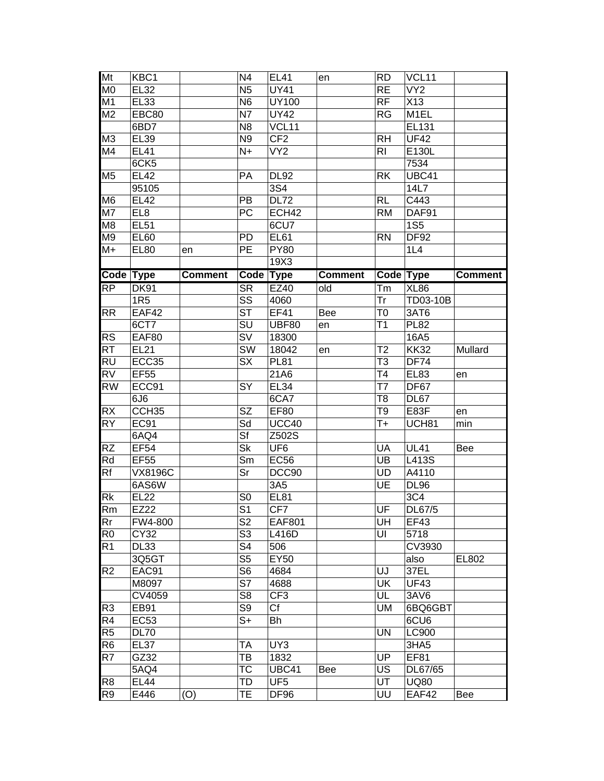| Mt                     | KBC1              |                | N <sub>4</sub>                    | <b>EL41</b>         | en             | <b>RD</b>       | VCL11            |                |
|------------------------|-------------------|----------------|-----------------------------------|---------------------|----------------|-----------------|------------------|----------------|
| M <sub>0</sub>         | <b>EL32</b>       |                | N <sub>5</sub>                    | <b>UY41</b>         |                | <b>RE</b>       | VY <sub>2</sub>  |                |
| M <sub>1</sub>         | <b>EL33</b>       |                | N <sub>6</sub>                    | <b>UY100</b>        |                | $\overline{RF}$ | X13              |                |
| M <sub>2</sub>         | EBC80             |                | N7                                | <b>UY42</b>         |                | <b>RG</b>       | M <sub>1EL</sub> |                |
|                        | 6BD7              |                | N <sub>8</sub>                    | VCL11               |                |                 | EL131            |                |
| M <sub>3</sub>         | <b>EL39</b>       |                | N <sub>9</sub>                    | CF <sub>2</sub>     |                | <b>RH</b>       | <b>UF42</b>      |                |
| M4                     | <b>EL41</b>       |                | $N+$                              | VY <sub>2</sub>     |                | R <sub>l</sub>  | E130L            |                |
|                        | 6CK5              |                |                                   |                     |                |                 | 7534             |                |
| M <sub>5</sub>         | <b>EL42</b>       |                | PA                                | <b>DL92</b>         |                | <b>RK</b>       | UBC41            |                |
|                        | 95105             |                |                                   | 3S4                 |                |                 | 14L7             |                |
| M <sub>6</sub>         | <b>EL42</b>       |                | PB                                | <b>DL72</b>         |                | <b>RL</b>       | C443             |                |
| M7                     | EL <sub>8</sub>   |                | PC                                | ECH42               |                | <b>RM</b>       | DAF91            |                |
| M <sub>8</sub>         | <b>EL51</b>       |                |                                   | 6CU7                |                |                 | <b>1S5</b>       |                |
| M <sub>9</sub>         | <b>EL60</b>       |                | PD                                | <b>EL61</b>         |                | <b>RN</b>       | <b>DF92</b>      |                |
| M+                     | <b>EL80</b>       | en             | PE                                | <b>PY80</b>         |                |                 | 1L4              |                |
|                        |                   |                |                                   | 19X3                |                |                 |                  |                |
| Code Type              |                   | <b>Comment</b> | Code                              | <b>Type</b>         | <b>Comment</b> | Code Type       |                  | <b>Comment</b> |
| $\overline{RP}$        | <b>DK91</b>       |                | <b>SR</b>                         | <b>EZ40</b>         | old            | Tm              | <b>XL86</b>      |                |
|                        | <b>1R5</b>        |                | $\overline{\text{SS}}$            | 4060                |                | <b>Tr</b>       | <b>TD03-10B</b>  |                |
| RR                     | EAF42             |                | <b>ST</b>                         | <b>EF41</b>         | Bee            | T <sub>0</sub>  | 3AT6             |                |
|                        | 6CT7              |                | $\overline{\mathsf{S}\mathsf{U}}$ | <b>UBF80</b>        | en             | T1              | <b>PL82</b>      |                |
| RS                     | EAF80             |                | $\overline{\mathsf{S}\mathsf{V}}$ | 18300               |                |                 | 16A5             |                |
| <b>RT</b>              | <b>EL21</b>       |                | SW                                | 18042               | en             | T <sub>2</sub>  | <b>KK32</b>      | Mullard        |
| RU                     | ECC35             |                | <b>SX</b>                         | <b>PL81</b>         |                | T <sub>3</sub>  | <b>DF74</b>      |                |
| $\overline{\text{RV}}$ | <b>EF55</b>       |                |                                   | 21A6                |                | $\overline{74}$ | <b>EL83</b>      | en             |
| <b>RW</b>              | ECC91             |                | SY                                | <b>EL34</b>         |                | T7              | DF67             |                |
|                        | 6J <sub>6</sub>   |                |                                   | 6CA7                |                | T <sub>8</sub>  | <b>DL67</b>      |                |
| RX                     | CCH <sub>35</sub> |                | <b>SZ</b>                         | <b>EF80</b>         |                | T9              | E83F             | en             |
| <b>RY</b>              | <b>EC91</b>       |                | Sd                                | $\overline{UC}$ C40 |                | $T +$           | UCH81            | min            |
|                        | 6AQ4              |                | Sf                                | Z502S               |                |                 |                  |                |
| <b>RZ</b>              | <b>EF54</b>       |                | Sk                                | UF <sub>6</sub>     |                | UA              | <b>UL41</b>      | Bee            |
| Rd                     | <b>EF55</b>       |                | Sm                                | <b>EC56</b>         |                | UB              | L413S            |                |
| Rf                     | <b>VX8196C</b>    |                | Sr                                | DCC90               |                | <b>UD</b>       | A4110            |                |
|                        | 6AS6W             |                |                                   | 3A5                 |                | UE              | <b>DL96</b>      |                |
| Rk                     | <b>EL22</b>       |                | S <sub>0</sub>                    | <b>EL81</b>         |                |                 | 3C4              |                |
| Rm                     | <b>EZ22</b>       |                | S <sub>1</sub>                    | CF7                 |                | UF              | DL67/5           |                |
| Rr                     | <b>FW4-800</b>    |                | S <sub>2</sub>                    | <b>EAF801</b>       |                | UH              | EF43             |                |
| R <sub>0</sub>         | CY32              |                | S <sub>3</sub>                    | L416D               |                | UI              | 5718             |                |
| R <sub>1</sub>         | <b>DL33</b>       |                | S <sub>4</sub>                    | 506                 |                |                 | CV3930           |                |
|                        | 3Q5GT             |                | S <sub>5</sub>                    | EY50                |                |                 | also             | EL802          |
| R <sub>2</sub>         | EAC91             |                | S <sub>6</sub>                    | 4684                |                | UJ              | 37EL             |                |
|                        | M8097             |                | S7                                | 4688                |                | UK              | <b>UF43</b>      |                |
|                        | CV4059            |                | S <sub>8</sub>                    | CF <sub>3</sub>     |                | UL              | 3AV6             |                |
| R <sub>3</sub>         | EB91              |                | S <sub>9</sub>                    | Cf                  |                | <b>UM</b>       | 6BQ6GBT          |                |
| R4                     | EC <sub>53</sub>  |                | $S+$                              | Bh                  |                |                 | 6CU6             |                |
| $R\overline{5}$        | <b>DL70</b>       |                |                                   |                     |                | <b>UN</b>       | LC900            |                |
| R <sub>6</sub>         | EL37              |                | TA                                | UY3                 |                |                 | 3HA5             |                |
| R7                     | GZ32              |                | ТB                                | 1832                |                | UP              | EF81             |                |
|                        | 5AQ4              |                | TC                                | UBC41               | Bee            | US              | DL67/65          |                |
| R <sub>8</sub>         | <b>EL44</b>       |                | TD                                | UF <sub>5</sub>     |                | UT              | <b>UQ80</b>      |                |
| R <sub>9</sub>         | E446              | (O)            | TE                                | <b>DF96</b>         |                | UU              | EAF42            | Bee            |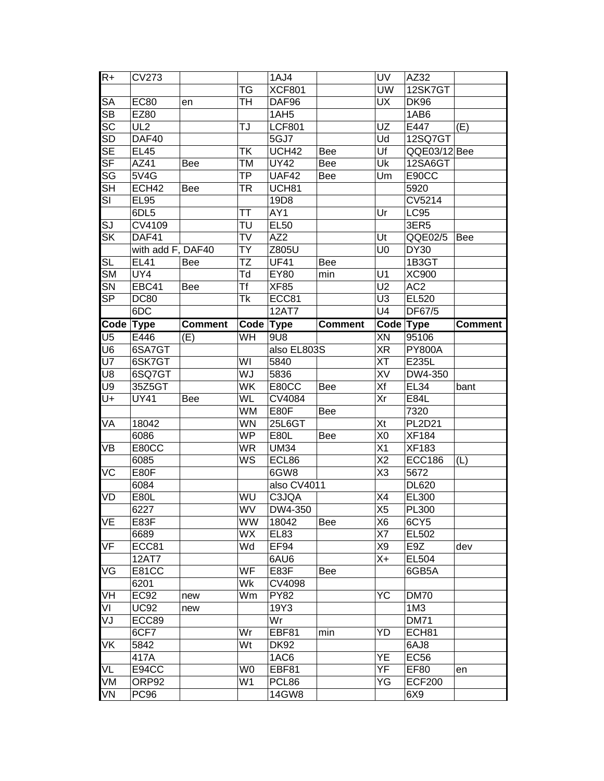| $R+$                     | <b>CV273</b>         |                |                | 1AJ4             |                | UV                     | AZ32                             |                |
|--------------------------|----------------------|----------------|----------------|------------------|----------------|------------------------|----------------------------------|----------------|
|                          |                      |                | ТG             | <b>XCF801</b>    |                | <b>UW</b>              | 12SK7GT                          |                |
| SA                       | <b>EC80</b>          | en             | TН             | DAF96            |                | <b>UX</b>              | <b>DK96</b>                      |                |
| SB                       | EZ80                 |                |                | 1AH <sub>5</sub> |                |                        | 1AB6                             |                |
| <b>SC</b>                | UL <sub>2</sub>      |                | TJ             | <b>LCF801</b>    |                | UZ                     | E447                             | (E)            |
| <b>SD</b>                | DAF40                |                |                | 5GJ7             |                | Ud                     | 12SQ7GT                          |                |
| $\overline{\text{SE}}$   | <b>EL45</b>          |                | TK             | UCH42            | Bee            | Uf                     | QQE03/12 Bee                     |                |
| $\overline{\mathsf{SF}}$ | AZ41                 | Bee            | TM             | <b>UY42</b>      | Bee            | Uk                     | 12SA6GT                          |                |
| SG                       | 5V4G                 |                | ТP             | <b>UAF42</b>     | Bee            | Um                     | E90CC                            |                |
| $\overline{\mathsf{SH}}$ | ECH42                | <b>Bee</b>     | TR             | UCH81            |                |                        | 5920                             |                |
| SI                       | <b>EL95</b>          |                |                | 19D8             |                |                        | CV5214                           |                |
|                          | 6DL5                 |                | <b>TT</b>      | AY1              |                | Ur                     | <b>LC95</b>                      |                |
| SJ                       | CV4109               |                | TU             | <b>EL50</b>      |                |                        | 3ER <sub>5</sub>                 |                |
| <b>SK</b>                | DAF41                |                | TV             | AZ <sub>2</sub>  |                | Ut                     | QQE02/5                          | <b>Bee</b>     |
|                          | with add F, DAF40    |                | TÝ             | Z805U            |                | U <sub>0</sub>         | <b>DY30</b>                      |                |
| <b>SL</b>                | <b>EL41</b>          | Bee            | TZ             | <b>UF41</b>      | <b>Bee</b>     |                        | 1B3GT                            |                |
| SM                       | UY4                  |                | Td             | <b>EY80</b>      | min            | U1                     | XC900                            |                |
| SN                       | EBC41                | Bee            | Τf             | <b>XF85</b>      |                | U <sub>2</sub>         | AC <sub>2</sub>                  |                |
| <b>SP</b>                | <b>DC80</b>          |                | Tk             | ECC81            |                | U <sub>3</sub>         | EL520                            |                |
|                          | 6DC                  |                |                | <b>12AT7</b>     |                | U <sub>4</sub>         | DF67/5                           |                |
|                          | Code Type            | <b>Comment</b> | Code Type      |                  | <b>Comment</b> | Code Type              |                                  | <b>Comment</b> |
| $\overline{\mathsf{U}5}$ | E446                 | (E)            | WH             | 9U8              |                | XN                     | 95106                            |                |
| $\overline{\mathsf{U6}}$ | 6SA7GT               |                |                | also EL803S      |                | XR                     | <b>PY800A</b>                    |                |
| $\overline{\mathsf{U7}}$ | 6SK7GT               |                | WI             | 5840             |                | XT                     | E235L                            |                |
| U8                       | 6SQ7GT               |                | WJ             | 5836             |                | $\overline{\text{XV}}$ | DW4-350                          |                |
| U9                       |                      |                | WK             |                  |                | Xf                     | <b>EL34</b>                      |                |
| U+                       | 35Z5GT               |                | WL             | E80CC            | <b>Bee</b>     | Xr                     |                                  | bant           |
|                          | <b>UY41</b>          | Bee            | WM             | CV4084           |                |                        | E84L<br>7320                     |                |
|                          |                      |                |                | E80F             | Bee            |                        |                                  |                |
| VA                       | 18042                |                | <b>WN</b>      | 25L6GT           |                | Xt                     | <b>PL2D21</b>                    |                |
|                          | 6086                 |                | <b>WP</b>      | <b>E80L</b>      | Bee            | X <sub>0</sub>         | <b>XF184</b>                     |                |
| VB                       | E80CC                |                | <b>WR</b>      | <b>UM34</b>      |                | X1                     | <b>XF183</b>                     |                |
|                          | 6085                 |                | WS             | ECL86            |                | X <sub>2</sub>         | <b>ECC186</b>                    | (L)            |
| VC                       | E80F                 |                |                | 6GW8             |                | X <sub>3</sub>         | 5672                             |                |
|                          | 6084                 |                |                | also CV4011      |                |                        | <b>DL620</b>                     |                |
| VD                       | E80L                 |                | WU             | C3JQA            |                | X4                     | EL300                            |                |
|                          | 6227                 |                | WV             | DW4-350          |                | X <sub>5</sub>         | PL300                            |                |
| VE                       | E83F                 |                | WW             | 18042            | Bee            | X <sub>6</sub>         | 6CY5                             |                |
|                          | 6689                 |                | <b>WX</b>      | <b>EL83</b>      |                | X7                     | EL502                            |                |
| VF                       | ECC81                |                | Wd             | EF94             |                | X9                     | E9Z                              | dev            |
|                          | 12AT7                |                |                | 6AU6             |                | X+                     | EL504                            |                |
| VG                       | <b>E81CC</b>         |                | WF             | E83F             | Bee            |                        | 6GB5A                            |                |
|                          | 6201                 |                | Wk             | CV4098           |                |                        |                                  |                |
| VH                       | <b>EC92</b>          | new            | Wm             | <b>PY82</b>      |                | YC                     | <b>DM70</b>                      |                |
| VI                       | <b>UC92</b>          | new            |                | 19Y3             |                |                        | 1M <sub>3</sub>                  |                |
| VJ                       | ECC89                |                |                | Wr               |                |                        | <b>DM71</b>                      |                |
|                          | 6CF7                 |                | Wr             | EBF81            | min            | YD                     | ECH81                            |                |
| VK                       | 5842                 |                | Wt             | <b>DK92</b>      |                |                        | 6AJ8                             |                |
|                          | 417A                 |                |                | 1AC6             |                | ΥE                     | <b>EC56</b>                      |                |
| VL                       | E94CC                |                | W <sub>0</sub> | EBF81            |                | YF                     | <b>EF80</b>                      | en             |
|                          |                      |                |                |                  |                |                        |                                  |                |
| VM<br>VN                 | ORP92<br><b>PC96</b> |                | W <sub>1</sub> | PCL86<br>14GW8   |                | ΥG                     | <b>ECF200</b><br>6X <sub>9</sub> |                |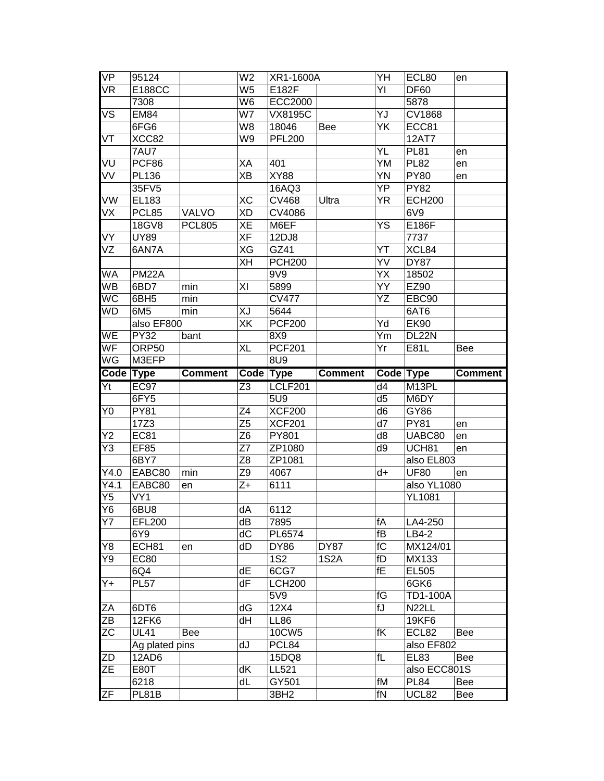| <b>VP</b>             | 95124                |                | W <sub>2</sub> | XR1-1600A                 |                   | YH             | ECL80                                | en                       |
|-----------------------|----------------------|----------------|----------------|---------------------------|-------------------|----------------|--------------------------------------|--------------------------|
| VR                    | <b>E188CC</b>        |                | W <sub>5</sub> | E182F                     |                   | Υl             | <b>DF60</b>                          |                          |
|                       | 7308                 |                | W <sub>6</sub> | <b>ECC2000</b>            |                   |                | 5878                                 |                          |
| VS                    | <b>EM84</b>          |                | W7             | <b>VX8195C</b>            |                   | YJ             | CV1868                               |                          |
|                       | 6FG6                 |                | W8             | 18046                     | Bee               | YK             | ECC81                                |                          |
| VT                    | XCC82                |                | W9             | <b>PFL200</b>             |                   |                | 12AT7                                |                          |
|                       | 7AU7                 |                |                |                           |                   | YL             | <b>PL81</b>                          | en                       |
| VU                    | PCF86                |                | XA             | 401                       |                   | YM             | <b>PL82</b>                          | en                       |
| VV                    | PL136                |                | <b>XB</b>      | XY88                      |                   | YN             | <b>PY80</b>                          | en                       |
|                       | 35FV5                |                |                | 16AQ3                     |                   | YP             | <b>PY82</b>                          |                          |
| VW                    | EL183                |                | <b>XC</b>      | <b>CV468</b>              | Ultra             | <b>YR</b>      | <b>ECH200</b>                        |                          |
| VX                    | PCL85                | <b>VALVO</b>   | XD             | CV4086                    |                   |                | 6V9                                  |                          |
|                       | 18GV8                | <b>PCL805</b>  | XE             | M6EF                      |                   | YS             | E186F                                |                          |
| VY                    | <b>UY89</b>          |                | <b>XF</b>      | 12DJ8                     |                   |                | 7737                                 |                          |
| $\overline{\nabla Z}$ | 6AN7A                |                | XG             | GZ41                      |                   | YT             | XCL84                                |                          |
|                       |                      |                | XH             | <b>PCH200</b>             |                   | YV             | <b>DY87</b>                          |                          |
| WA                    | <b>PM22A</b>         |                |                | 9V9                       |                   | YΧ             | 18502                                |                          |
| WB                    | 6BD7                 |                | XI             | 5899                      |                   | YY             | EZ90                                 |                          |
| <b>WC</b>             |                      | min            |                |                           |                   | YZ             |                                      |                          |
|                       | 6BH <sub>5</sub>     | min            |                | <b>CV477</b>              |                   |                | EBC90                                |                          |
| <b>WD</b>             | 6M <sub>5</sub>      | min            | XJ             | 5644                      |                   |                | 6AT6                                 |                          |
|                       | also EF800           |                | XK             | <b>PCF200</b>             |                   | Yd             | <b>EK90</b>                          |                          |
| WE                    | <b>PY32</b>          | bant           |                | 8X9                       |                   | Υm             | DL22N                                |                          |
| WF                    | ORP50                |                | <b>XL</b>      | <b>PCF201</b>             |                   | Yr             | E81L                                 | Bee                      |
| WG                    | M3EFP                |                |                | <b>8U9</b>                |                   |                |                                      |                          |
| Code                  | <b>Type</b>          | <b>Comment</b> | Code Type      |                           | <b>Comment</b>    | Code Type      |                                      | <b>Comment</b>           |
| Υt                    | <b>EC97</b>          |                | Z <sub>3</sub> | LCLF201                   |                   | d4             | M13PL                                |                          |
|                       |                      |                |                |                           |                   |                |                                      |                          |
|                       | 6FY5                 |                |                | 5U9                       |                   | d <sub>5</sub> | M6DY                                 |                          |
| Y0                    | <b>PY81</b>          |                | Z <sub>4</sub> | <b>XCF200</b>             |                   | d <sub>6</sub> | GY86                                 |                          |
|                       | 17Z3                 |                | Z <sub>5</sub> | <b>XCF201</b>             |                   | d7             | <b>PY81</b>                          | en                       |
| Υ2                    | <b>EC81</b>          |                | Z <sub>6</sub> | PY801                     |                   | d8             | UABC80                               | en                       |
| Y3                    | <b>EF85</b>          |                | Z7             | ZP1080                    |                   | d9             | UCH81                                | en                       |
|                       | 6BY7                 |                | Z <sub>8</sub> | ZP1081                    |                   |                | also EL803                           |                          |
| Y4.0                  | EABC80               | min            | Z <sub>9</sub> | 4067                      |                   | d+             | <b>UF80</b>                          | en                       |
| Y4.1                  | EABC80               | en             | $Z+$           | 6111                      |                   |                | also YL1080                          |                          |
| Y5                    | VY1                  |                |                |                           |                   |                | <b>YL1081</b>                        |                          |
| Y6                    | 6BU8                 |                | dA             | 6112                      |                   |                |                                      |                          |
| <b>Y7</b>             | <b>EFL200</b>        |                | dB             | 7895                      |                   | fA             | LA4-250                              |                          |
|                       | 6Y9                  |                | ďС             | PL6574                    |                   | fB             | LB4-2                                |                          |
| Y8                    | ECH81                | en             | dD             | <b>DY86</b>               | <b>DY87</b>       | fC             | MX124/01                             |                          |
| Y9                    | <b>EC80</b>          |                |                | 1S <sub>2</sub>           | 1S <sub>2</sub> A | fD             | MX133                                |                          |
|                       | 6Q4                  |                | dE             | 6CG7                      |                   | fE             | EL505                                |                          |
| Y+                    | <b>PL57</b>          |                | dF             |                           |                   |                | 6GK6                                 |                          |
|                       |                      |                |                | <b>LCH200</b><br>5V9      |                   | fG             |                                      |                          |
| ΖA                    |                      |                | dG             | 12X4                      |                   | fJ             | <b>TD1-100A</b><br>N <sub>22LL</sub> |                          |
|                       | 6DT6<br><b>12FK6</b> |                | dH             | <b>LL86</b>               |                   |                | <b>19KF6</b>                         |                          |
| ZB                    |                      |                |                |                           |                   |                |                                      |                          |
| $\overline{z}$ C      | <b>UL41</b>          | <b>Bee</b>     |                | 10CW <sub>5</sub>         |                   | fK             | ECL82                                | <b>Bee</b>               |
|                       | Ag plated pins       |                | dJ             | PCL84                     |                   |                | also EF802                           |                          |
| ZD                    | 12AD6                |                |                | 15DQ8                     |                   | fL             | <b>EL83</b>                          | <b>Bee</b>               |
| <b>ZE</b>             | <b>E80T</b>          |                | dK             | LL521                     |                   |                | also ECC801S                         |                          |
| ZF                    | 6218<br>PL81B        |                | dL             | GY501<br>3BH <sub>2</sub> |                   | fM<br>fN       | <b>PL84</b><br>UCL82                 | <b>Bee</b><br><b>Bee</b> |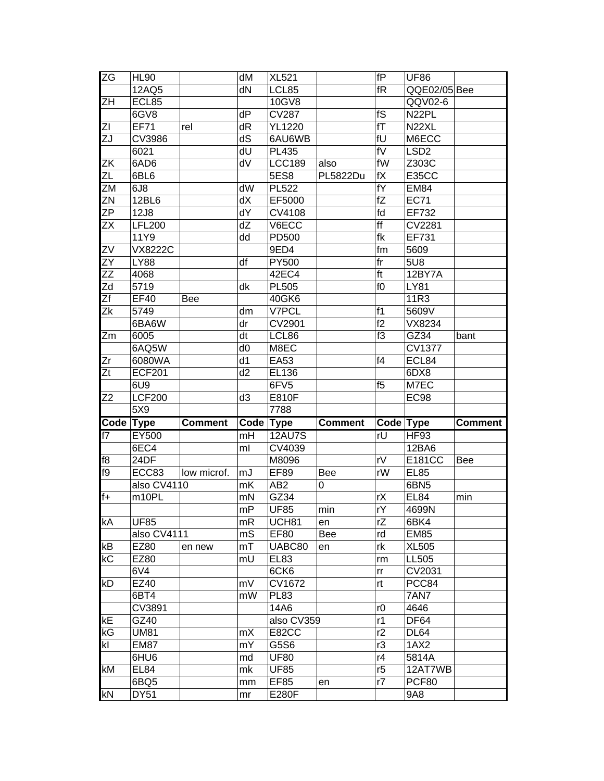| ΖG              | <b>HL90</b>         |                | dM              | <b>XL521</b>    |                | fP                       | <b>UF86</b>        |                |
|-----------------|---------------------|----------------|-----------------|-----------------|----------------|--------------------------|--------------------|----------------|
|                 | 12AQ5               |                | dN              | LCL85           |                | fR                       | QQE02/05 Bee       |                |
| ZΗ              | ECL85               |                |                 | 10GV8           |                |                          | QQV02-6            |                |
|                 | 6GV8                |                | dP              | <b>CV287</b>    |                | fS                       | N <sub>22</sub> PL |                |
| ΖI              | <b>EF71</b>         | rel            | dR              | <b>YL1220</b>   |                | fT                       | N <sub>22</sub> XL |                |
| ZJ              | CV3986              |                | dS              | 6AU6WB          |                | fU                       | M6ECC              |                |
|                 | 6021                |                | dU              | PL435           |                | fV                       | LSD <sub>2</sub>   |                |
| ZΚ              | 6AD6                |                | dV              | <b>LCC189</b>   | also           | fW                       | Z303C              |                |
| ΖL              | 6BL6                |                |                 | 5ES8            | PL5822Du       | fX                       | <b>E35CC</b>       |                |
| ZM              | 6J <sub>8</sub>     |                | $\overline{dW}$ | <b>PL522</b>    |                | $\overline{fY}$          | <b>EM84</b>        |                |
| ZN              | 12BL6               |                | dX              | EF5000          |                | fZ                       | $\overline{EC71}$  |                |
| ZΡ              | 12J8                |                | dY              | CV4108          |                | fd                       | EF732              |                |
| $\overline{ZX}$ | <b>LFL200</b>       |                | dZ              | V6ECC           |                | $\overline{\mathsf{ff}}$ | CV2281             |                |
|                 | 11Y9                |                | dd              | PD500           |                | $\operatorname{\sf f}$   | EF731              |                |
| ZV              | <b>VX8222C</b>      |                |                 | 9ED4            |                | fm                       | 5609               |                |
| $\overline{ZY}$ | <b>LY88</b>         |                | df              | PY500           |                | fr                       | 5U8                |                |
| $\overline{ZZ}$ | 4068                |                |                 | 42EC4           |                | ft                       | 12BY7A             |                |
| Zd              | 5719                |                | dk              | <b>PL505</b>    |                | f <sub>0</sub>           | <b>LY81</b>        |                |
| $\overline{Zf}$ | <b>EF40</b>         | Bee            |                 | 40GK6           |                |                          | 11R3               |                |
| Zk              | 5749                |                | dm              | V7PCL           |                | f1                       | 5609V              |                |
|                 | 6BA6W               |                | dr              | CV2901          |                | $\overline{f2}$          | VX8234             |                |
| Zm              | 6005                |                | dt              | LCL86           |                | f3                       | GZ34               | bant           |
|                 | 6AQ5W               |                | d0              | M8EC            |                |                          | <b>CV1377</b>      |                |
| Zr              | 6080WA              |                | d1              | EA53            |                | f4                       | ECL84              |                |
| Zt              | <b>ECF201</b>       |                | d2              | EL136           |                |                          | 6DX8               |                |
|                 | 6U9                 |                |                 | 6FV5            |                | f5                       | M7EC               |                |
|                 |                     |                |                 |                 |                |                          |                    |                |
| Z2              | <b>LCF200</b>       |                | d3              | E810F           |                |                          | <b>EC98</b>        |                |
|                 | 5X9                 |                |                 | 7788            |                |                          |                    |                |
| Code            | <b>Type</b>         | <b>Comment</b> | Code Type       |                 | <b>Comment</b> | Code Type                |                    | <b>Comment</b> |
| $\overline{5}$  | <b>EY500</b>        |                | mH              | <b>12AU7S</b>   |                | $\overline{r}$           | <b>HF93</b>        |                |
|                 | 6EC4                |                | ml              | CV4039          |                |                          | 12BA6              |                |
| f8              | 24DF                |                |                 | M8096           |                | rV                       | E181CC             | Bee            |
| f9              | ECC83               | low microf.    | mJ              | <b>EF89</b>     | Bee            | rW                       | <b>EL85</b>        |                |
|                 | also CV4110         |                | mK              | AB <sub>2</sub> | 0              |                          | 6BN <sub>5</sub>   |                |
| $f +$           | m10PL               |                | mN              | GZ34            |                | rX                       | <b>EL84</b>        | min            |
|                 |                     |                | mP              | <b>UF85</b>     | min            | rY                       | 4699N              |                |
| kA              | <b>UF85</b>         |                | mR              | UCH81           | en             | rZ                       | 6BK4               |                |
|                 | also CV4111         |                | mS              | <b>EF80</b>     | Bee            | rd                       | <b>EM85</b>        |                |
| kB              | EZ80                | en new         | mT              | UABC80          | en             | rk                       | <b>XL505</b>       |                |
| kC              | EZ80                |                | mU              | <b>EL83</b>     |                | rm                       | LL505              |                |
|                 | 6V4                 |                |                 | 6CK6            |                | rr                       | CV2031             |                |
| kD              | EZ40                |                | mV              | CV1672          |                | rt                       | PCC84              |                |
|                 | 6BT4                |                | mW              | <b>PL83</b>     |                |                          | 7AN7               |                |
|                 | CV3891              |                |                 | 14A6            |                | r <sub>0</sub>           | 4646               |                |
| kE              | GZ40                |                |                 | also CV359      |                | r1                       | DF64               |                |
| kG              | <b>UM81</b>         |                | mX              | E82CC           |                | r2                       | DL64               |                |
| kl              | <b>EM87</b>         |                | mY              | G5S6            |                | r3                       | 1AX2               |                |
|                 | 6HU6                |                | md              | <b>UF80</b>     |                | r4                       | 5814A              |                |
| kM              | EL84                |                | mk              | <b>UF85</b>     |                | r5                       | 12AT7WB            |                |
| kN              | 6BQ5<br><b>DY51</b> |                | mm              | EF85<br>E280F   | en             | r7                       | PCF80<br>9A8       |                |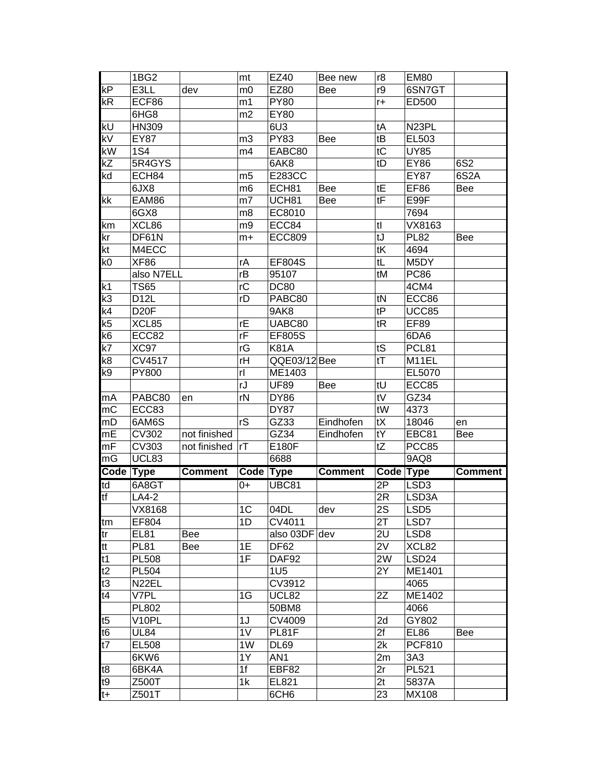|                | 1BG <sub>2</sub>  |                | mt             | <b>EZ40</b>               | Bee new        | r8        | <b>EM80</b>          |                   |
|----------------|-------------------|----------------|----------------|---------------------------|----------------|-----------|----------------------|-------------------|
| kP             | E3LL              | dev            | m <sub>0</sub> | EZ80                      | Bee            | r9        | 6SN7GT               |                   |
| kR             | ECF86             |                | m1             | <b>PY80</b>               |                | $r+$      | ED500                |                   |
|                | 6HG8              |                | m2             | <b>EY80</b>               |                |           |                      |                   |
| kU             | HN309             |                |                | 6U3                       |                | tA        | N <sub>23</sub> PL   |                   |
| kV             | <b>EY87</b>       |                | m <sub>3</sub> | <b>PY83</b>               | Bee            | tB        | EL503                |                   |
| kW             | <b>1S4</b>        |                | m4             | EABC80                    |                | tC        | <b>UY85</b>          |                   |
| kZ             | 5R4GYS            |                |                | 6AK8                      |                | tD        | <b>EY86</b>          | 6S2               |
| kd             | ECH84             |                | m <sub>5</sub> | <b>E283CC</b>             |                |           | <b>EY87</b>          | 6S <sub>2</sub> A |
|                | 6JX8              |                | m <sub>6</sub> | ECH81                     | <b>Bee</b>     | tE        | <b>EF86</b>          | Bee               |
| kk             | EAM86             |                | m <sub>7</sub> | UCH81                     | Bee            | tF        | E99F                 |                   |
|                | 6GX8              |                | m8             | EC8010                    |                |           | 7694                 |                   |
| km             | XCL86             |                | m <sub>9</sub> | ECC84                     |                | tl        | VX8163               |                   |
| kr             | DF61N             |                | $m+$           | <b>ECC809</b>             |                | tJ        | <b>PL82</b>          | Bee               |
| kt             | M4ECC             |                |                |                           |                | tK        | 4694                 |                   |
| k0             | <b>XF86</b>       |                | rA             | <b>EF804S</b>             |                | tL        | M5DY                 |                   |
|                | also N7ELL        |                | rB             | 95107                     |                | tM        | <b>PC86</b>          |                   |
| k1             | TS65              |                | rC             | <b>DC80</b>               |                |           | 4CM4                 |                   |
| k3             | D <sub>12</sub> L |                | rD             | PABC80                    |                | tN        | ECC86                |                   |
| k4             |                   |                |                |                           |                | tP        |                      |                   |
|                | D <sub>20</sub> F |                |                | 9AK8                      |                |           | UCC85<br><b>EF89</b> |                   |
| k5             | XCL85             |                | rE             | UABC80                    |                | tR        |                      |                   |
| k6             | ECC82             |                | rF             | <b>EF805S</b>             |                |           | 6DA6                 |                   |
| k7             | XC97              |                | rG             | <b>K81A</b>               |                | tS        | PCL81                |                   |
| k8             | CV4517            |                | rH             | QQE03/12 Bee              |                | tT        | M11EL                |                   |
| k9             | <b>PY800</b>      |                | rl             | ME1403                    |                |           | EL5070               |                   |
|                |                   |                | rJ             | <b>UF89</b>               | <b>Bee</b>     | tU        | ECC85                |                   |
| mA             | PABC80            | en             | rN             | <b>DY86</b>               |                | tV        | GZ34                 |                   |
| mC             | ECC83             |                |                | DY87                      |                | tW        | 4373                 |                   |
| mD             | 6AM6S             |                | rS             | GZ33                      | Eindhofen      | tX        | 18046                | en                |
| mE             | CV302             | not finished   |                | GZ34                      | Eindhofen      | tY        | EBC81                | Bee               |
| mF             | CV303             | not finished   | rT             | E180F                     |                | tZ        | PCC85                |                   |
| mG             | UCL83             |                |                | 6688                      |                |           | 9AQ8                 |                   |
| <b>Code</b>    | <b>Type</b>       | <b>Comment</b> | Code Type      |                           | <b>Comment</b> | Code Type |                      | <b>Comment</b>    |
| td             | 6A8GT             |                | 0+             | UBC81                     |                | 2P        | LSD <sub>3</sub>     |                   |
| tf             | $LA4-2$           |                |                |                           |                | 2R        | LSD3A                |                   |
|                | VX8168            |                | 1 <sup>C</sup> | 04DL                      | dev            | 2S        | LSD <sub>5</sub>     |                   |
| tm             | EF804             |                | 1D             | CV4011                    |                | 2T        | LSD7                 |                   |
| tr             | <b>EL81</b>       | Bee            |                | also 03DF dev             |                | 2U        | LSD <sub>8</sub>     |                   |
| tt             | <b>PL81</b>       | Bee            | 1E             | <b>DF62</b>               |                | 2V        | XCL82                |                   |
| t1             | <b>PL508</b>      |                | 1F             | DAF92                     |                | 2W        | LSD <sub>24</sub>    |                   |
| t2             | <b>PL504</b>      |                |                | 1U <sub>5</sub>           |                | 2Y        | ME1401               |                   |
| t3             | N <sub>22EL</sub> |                |                | CV3912                    |                |           | 4065                 |                   |
| t4             | V7PL              |                | 1G             | UCL82                     |                | 2Z        | ME1402               |                   |
|                | PL802             |                |                | 50BM8                     |                |           | 4066                 |                   |
| t5             |                   |                |                |                           |                | 2d        | GY802                |                   |
|                |                   |                |                |                           |                |           |                      |                   |
|                | V10PL             |                | 1J             | CV4009                    |                |           |                      |                   |
| t <sub>6</sub> | <b>UL84</b>       |                | 1 <sub>V</sub> | PL81F                     |                | 2f        | EL86                 | Bee               |
| t7             | EL508             |                | 1W             | <b>DL69</b>               |                | 2k        | <b>PCF810</b>        |                   |
|                | 6KW6              |                | 1Y             | AN1                       |                | 2m        | 3A3                  |                   |
| t8             | 6BK4A             |                | 1f             | EBF82                     |                | 2r        | <b>PL521</b>         |                   |
| t9<br>$t+$     | Z500T<br>Z501T    |                | 1k             | EL821<br>6CH <sub>6</sub> |                | 2t<br>23  | 5837A<br>MX108       |                   |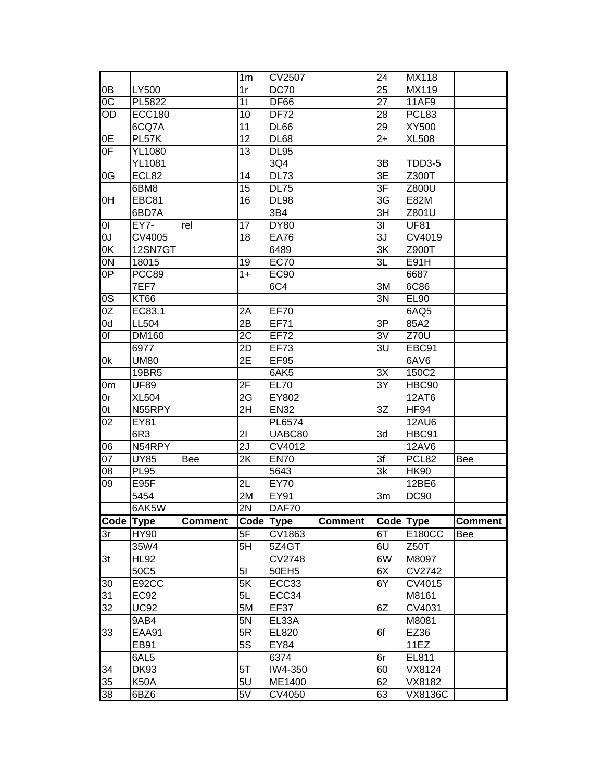|                |                 |                | 1 <sub>m</sub> | <b>CV2507</b> |                | 24                       | <b>MX118</b>  |                |
|----------------|-----------------|----------------|----------------|---------------|----------------|--------------------------|---------------|----------------|
| 0B             | LY500           |                | 1r             | <b>DC70</b>   |                | 25                       | MX119         |                |
| 0C             | PL5822          |                | 1 <sub>t</sub> | <b>DF66</b>   |                | 27                       | 11AF9         |                |
| OD             | <b>ECC180</b>   |                | 10             | <b>DF72</b>   |                | 28                       | PCL83         |                |
|                | 6CQ7A           |                | 11             | DL66          |                | 29                       | XY500         |                |
| 0E             | PL57K           |                | 12             | DL68          |                | $2+$                     | <b>XL508</b>  |                |
| 0F             | <b>YL1080</b>   |                | 13             | <b>DL95</b>   |                |                          |               |                |
|                | <b>YL1081</b>   |                |                | 3Q4           |                | 3B                       | <b>TDD3-5</b> |                |
| 0G             | ECL82           |                | 14             | DL73          |                | 3E                       | Z300T         |                |
|                | 6BM8            |                | 15             | <b>DL75</b>   |                | $\overline{\mathsf{3F}}$ | Z800U         |                |
| 0H             | EBC81           |                | 16             | <b>DL98</b>   |                | 3G                       | E82M          |                |
|                | 6BD7A           |                |                | 3B4           |                | 3H                       | Z801U         |                |
| 01             | EY7-            | rel            | 17             | <b>DY80</b>   |                | 3 <sub>l</sub>           | <b>UF81</b>   |                |
| U <sub>0</sub> | CV4005          |                | 18             | <b>EA76</b>   |                | 3J                       | CV4019        |                |
| 0 <sub>K</sub> | 12SN7GT         |                |                | 6489          |                | 3K                       | Z900T         |                |
| 0N             | 18015           |                | 19             | <b>EC70</b>   |                | 3L                       | E91H          |                |
| 0P             | PCC89           |                | $1+$           | <b>EC90</b>   |                |                          | 6687          |                |
|                | 7EF7            |                |                | 6C4           |                | 3M                       | 6C86          |                |
| 0S             | <b>KT66</b>     |                |                |               |                | 3N                       | EL90          |                |
| 0Z             | EC83.1          |                | 2A             | <b>EF70</b>   |                |                          | 6AQ5          |                |
| 0d             | <b>LL504</b>    |                | 2B             | <b>EF71</b>   |                | 3P                       | 85A2          |                |
| 0f             | <b>DM160</b>    |                |                |               |                |                          |               |                |
|                |                 |                | 2C             | <b>EF72</b>   |                | 3V                       | <b>Z70U</b>   |                |
|                | 6977            |                | 2D             | <b>EF73</b>   |                | 3U                       | EBC91         |                |
| 0k             | <b>UM80</b>     |                | 2E             | <b>EF95</b>   |                |                          | 6AV6          |                |
|                | 19BR5           |                |                | 6AK5          |                | 3X                       | 150C2         |                |
| 0m             | <b>UF89</b>     |                | 2F             | <b>EL70</b>   |                | 3Y                       | HBC90         |                |
| 0r             | <b>XL504</b>    |                | 2G             | EY802         |                |                          | 12AT6         |                |
| 0t             | N55RPY          |                | 2H             | <b>EN32</b>   |                | 3Z                       | <b>HF94</b>   |                |
| 02             | EY81            |                |                | PL6574        |                |                          | <b>12AU6</b>  |                |
|                | 6R <sub>3</sub> |                | 21             | UABC80        |                | 3d                       | HBC91         |                |
| 06             | N54RPY          |                | 2J             | CV4012        |                |                          | 12AV6         |                |
| 07             | <b>UY85</b>     | Bee            | 2K             | <b>EN70</b>   |                | 3f                       | PCL82         | Bee            |
| 08             | <b>PL95</b>     |                |                | 5643          |                | 3k                       | <b>HK90</b>   |                |
| 09             | E95F            |                | 2L             | <b>EY70</b>   |                |                          | 12BE6         |                |
|                | 5454            |                | 2M             | EY91          |                | 3m                       | <b>DC90</b>   |                |
|                | 6AK5W           |                | 2N             | DAF70         |                |                          |               |                |
| Code Type      |                 | <b>Comment</b> | Code Type      |               | <b>Comment</b> | Code Type                |               | <b>Comment</b> |
| 3r             | <b>HY90</b>     |                | 5F             | <b>CV1863</b> |                | 6T                       | E180CC        | Bee            |
|                | 35W4            |                | 5H             | 5Z4GT         |                | 6U                       | <b>Z50T</b>   |                |
| 3t             | <b>HL92</b>     |                |                | <b>CV2748</b> |                | 6W                       | M8097         |                |
|                | 50C5            |                | 5 <sub>l</sub> | 50EH5         |                | 6X                       | CV2742        |                |
| 30             | E92CC           |                | 5K             | ECC33         |                | 6Y                       | CV4015        |                |
| 31             | <b>EC92</b>     |                | 5L             | ECC34         |                |                          | M8161         |                |
| 32             | <b>UC92</b>     |                | 5M             | EF37          |                | 6Z                       | CV4031        |                |
|                | 9AB4            |                | 5N             | EL33A         |                |                          | M8081         |                |
| 33             | <b>EAA91</b>    |                | 5R             | EL820         |                | 6f                       | EZ36          |                |
|                | EB91            |                | 5S             | EY84          |                |                          | 11EZ          |                |
|                | 6AL5            |                |                | 6374          |                | 6r                       | EL811         |                |
| 34             | <b>DK93</b>     |                | 5T             | IW4-350       |                | 60                       | VX8124        |                |
| 35             | <b>K50A</b>     |                | 5U             | ME1400        |                | 62                       | VX8182        |                |
| 38             | 6BZ6            |                | 5V             | CV4050        |                | 63                       | VX8136C       |                |
|                |                 |                |                |               |                |                          |               |                |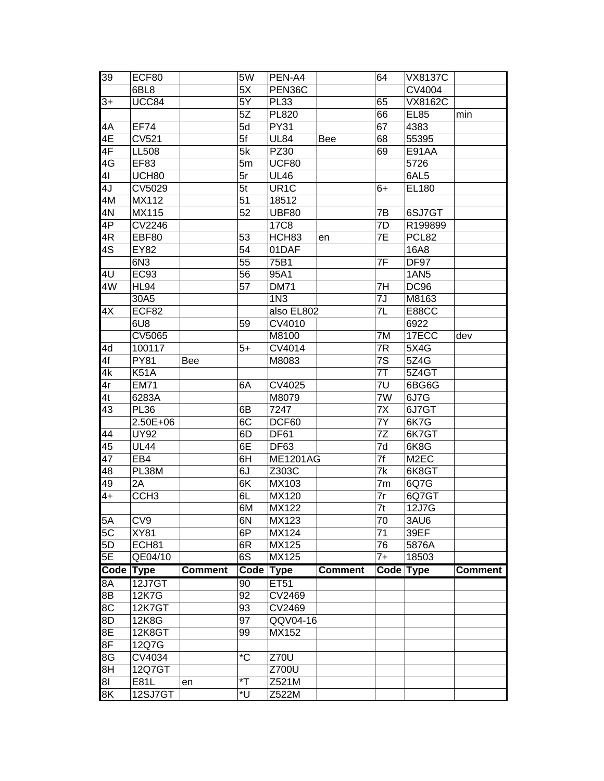| 39              | ECF80            |                | 5W                      | PEN-A4            |                | 64              | <b>VX8137C</b>    |                |
|-----------------|------------------|----------------|-------------------------|-------------------|----------------|-----------------|-------------------|----------------|
|                 | 6BL8             |                | 5X                      | PEN36C            |                |                 | CV4004            |                |
| 3+              | UCC84            |                | $\overline{5Y}$         | <b>PL33</b>       |                | 65              | <b>VX8162C</b>    |                |
|                 |                  |                | 5Z                      | <b>PL820</b>      |                | 66              | <b>EL85</b>       | min            |
| 4A              | <b>EF74</b>      |                | 5d                      | <b>PY31</b>       |                | 67              | 4383              |                |
| 4E              | CV521            |                | 5f                      | <b>UL84</b>       | Bee            | 68              | 55395             |                |
| 4F              | <b>LL508</b>     |                | 5k                      | PZ30              |                | 69              | E91AA             |                |
| $4\overline{G}$ | EF83             |                | 5m                      | UCF80             |                |                 | 5726              |                |
| 41              | UCH80            |                | 5r                      | <b>UL46</b>       |                |                 | 6AL5              |                |
| 4J              | CV5029           |                | 5t                      | UR <sub>1</sub> C |                | 6+              | EL180             |                |
| 4M              | MX112            |                | 51                      | 18512             |                |                 |                   |                |
| 4N              | MX115            |                | 52                      | <b>UBF80</b>      |                | 7В              | 6SJ7GT            |                |
| 4P              | <b>CV2246</b>    |                |                         | <b>17C8</b>       |                | 7D              | R199899           |                |
| 4R              | <b>EBF80</b>     |                | 53                      | HCH83             | en             | 7E              | PCL82             |                |
| 4S              | <b>EY82</b>      |                | 54                      | 01DAF             |                |                 | 16A8              |                |
|                 | 6N <sub>3</sub>  |                | 55                      | 75B1              |                | 7F              | DF97              |                |
| 4U              | <b>EC93</b>      |                | 56                      | 95A1              |                |                 | 1AN5              |                |
| 4W              | <b>HL94</b>      |                | 57                      | <b>DM71</b>       |                | 7H              | <b>DC96</b>       |                |
|                 | 30A5             |                |                         | 1N <sub>3</sub>   |                | 7J              | M8163             |                |
| 4X              | ECF82            |                |                         | also EL802        |                | 7L              | <b>E88CC</b>      |                |
|                 | 6U8              |                | 59                      | CV4010            |                |                 | 6922              |                |
|                 | CV5065           |                |                         | M8100             |                | 7M              | 17ECC             | dev            |
| 4d              | 100117           |                | $5+$                    | CV4014            |                | 7R              | 5X4G              |                |
| 4f              | <b>PY81</b>      | Bee            |                         | M8083             |                | $\overline{7S}$ | 5Z4G              |                |
| 4k              | <b>K51A</b>      |                |                         |                   |                | 7T              | 5Z4GT             |                |
| 4r              | <b>EM71</b>      |                | 6A                      | CV4025            |                | 7U              | 6BG6G             |                |
| 4t              | 6283A            |                |                         | M8079             |                | 7W              | 6J7G              |                |
| 43              | <b>PL36</b>      |                | 6B                      | 7247              |                | 7X              | 6J7GT             |                |
|                 | 2.50E+06         |                | 6C                      | DCF60             |                | 7Y              | 6K7G              |                |
| 44              | <b>UY92</b>      |                | 6D                      | <b>DF61</b>       |                | 7Z              | 6K7GT             |                |
| 45              | <b>UL44</b>      |                | 6E                      | DF63              |                | 7d              | 6K8G              |                |
| 47              | EB4              |                | 6H                      | <b>ME1201AG</b>   |                | 7f              | M <sub>2</sub> EC |                |
| 48              | PL38M            |                | 6J                      | Z303C             |                | 7k              | 6K8GT             |                |
| 49              | 2A               |                | 6K                      | MX103             |                | 7m              | 6Q7G              |                |
| $4+$            | CCH <sub>3</sub> |                | 6L                      | MX120             |                | 7r              | 6Q7GT             |                |
|                 |                  |                | 6M                      | MX122             |                | 7t              | 12J7G             |                |
| 5A              | CV <sub>9</sub>  |                | 6N                      | <b>MX123</b>      |                | 70              | 3AU6              |                |
| 5 <sub>C</sub>  | <b>XY81</b>      |                | 6P                      | MX124             |                | 71              | 39EF              |                |
| 5D              | ECH81            |                | 6R                      | MX125             |                | 76              | 5876A             |                |
| 5E              | QE04/10          |                | 6S                      | MX125             |                | $7+$            | 18503             |                |
| Code            | <b>Type</b>      | <b>Comment</b> | Code Type               |                   | <b>Comment</b> | Code Type       |                   | <b>Comment</b> |
| 8A              | 12J7GT           |                | 90                      | <b>ET51</b>       |                |                 |                   |                |
| $\overline{8}$  | <b>12K7G</b>     |                | 92                      | CV2469            |                |                 |                   |                |
| 8C              | <b>12K7GT</b>    |                | 93                      | CV2469            |                |                 |                   |                |
| 8D              |                  |                |                         |                   |                |                 |                   |                |
|                 | 12K8G            |                | 97                      | QQV04-16          |                |                 |                   |                |
| 8E              | 12K8GT           |                | 99                      | MX152             |                |                 |                   |                |
| 8F              |                  |                |                         |                   |                |                 |                   |                |
|                 | 12Q7G            |                | $^{\ast}$ C             |                   |                |                 |                   |                |
| 8G<br>8H        | CV4034<br>12Q7GT |                |                         | Z70U<br>Z700U     |                |                 |                   |                |
| 81              | E81L             | en             | $\overline{\mathsf{f}}$ | Z521M             |                |                 |                   |                |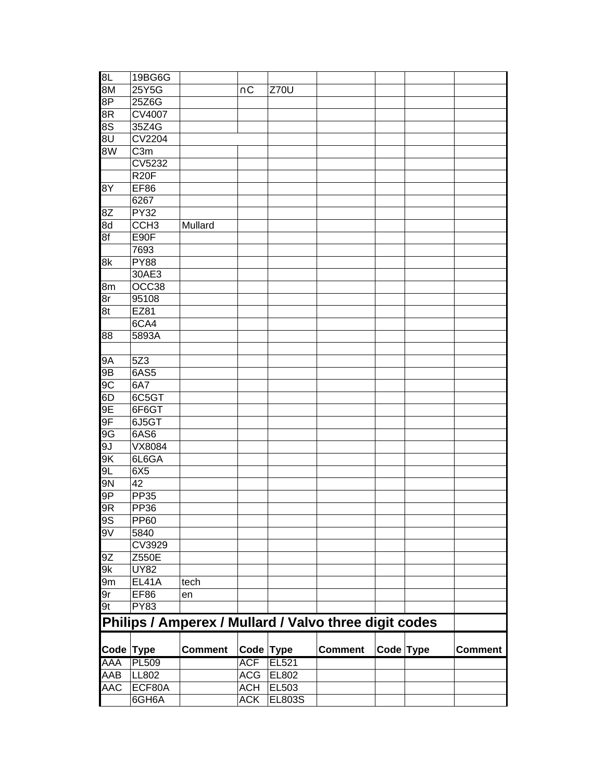| 8L         | 19BG6G           |                |            |           |                                                       |           |                |
|------------|------------------|----------------|------------|-----------|-------------------------------------------------------|-----------|----------------|
| 8M         | 25Y5G            |                | $\cap C$   | Z70U      |                                                       |           |                |
| 8P         | 25Z6G            |                |            |           |                                                       |           |                |
| 8R         | <b>CV4007</b>    |                |            |           |                                                       |           |                |
| 8S         | 35Z4G            |                |            |           |                                                       |           |                |
| 8U         | <b>CV2204</b>    |                |            |           |                                                       |           |                |
| 8W         | C <sub>3m</sub>  |                |            |           |                                                       |           |                |
|            | CV5232           |                |            |           |                                                       |           |                |
|            | <b>R20F</b>      |                |            |           |                                                       |           |                |
| 8Y         | <b>EF86</b>      |                |            |           |                                                       |           |                |
|            | 6267             |                |            |           |                                                       |           |                |
| 8Z         | <b>PY32</b>      |                |            |           |                                                       |           |                |
| 8d         | CCH <sub>3</sub> | Mullard        |            |           |                                                       |           |                |
| 8f         | E90F             |                |            |           |                                                       |           |                |
|            | 7693             |                |            |           |                                                       |           |                |
| 8k         | <b>PY88</b>      |                |            |           |                                                       |           |                |
|            | 30AE3            |                |            |           |                                                       |           |                |
| 8m         | OCC38            |                |            |           |                                                       |           |                |
| 8r         | 95108            |                |            |           |                                                       |           |                |
| 8t         | <b>EZ81</b>      |                |            |           |                                                       |           |                |
|            | 6CA4             |                |            |           |                                                       |           |                |
| 88         | 5893A            |                |            |           |                                                       |           |                |
|            |                  |                |            |           |                                                       |           |                |
| 9Α         | 5Z3              |                |            |           |                                                       |           |                |
| 9B         | 6AS5             |                |            |           |                                                       |           |                |
| 9C         | 6A7              |                |            |           |                                                       |           |                |
| 6D         | 6C5GT            |                |            |           |                                                       |           |                |
| 9E         | 6F6GT            |                |            |           |                                                       |           |                |
| 9F         | 6J5GT            |                |            |           |                                                       |           |                |
| 9G         | 6AS6             |                |            |           |                                                       |           |                |
| 9J         | VX8084           |                |            |           |                                                       |           |                |
| 9K         |                  |                |            |           |                                                       |           |                |
|            | 6L6GA            |                |            |           |                                                       |           |                |
| 9L         | 6X5              |                |            |           |                                                       |           |                |
| 9N         | 42               |                |            |           |                                                       |           |                |
| 9P         | <b>PP35</b>      |                |            |           |                                                       |           |                |
| 9R         | <b>PP36</b>      |                |            |           |                                                       |           |                |
| 9S         | <b>PP60</b>      |                |            |           |                                                       |           |                |
| 9V         | 5840             |                |            |           |                                                       |           |                |
|            | CV3929           |                |            |           |                                                       |           |                |
| 9Z         | Z550E            |                |            |           |                                                       |           |                |
| 9k         | <b>UY82</b>      |                |            |           |                                                       |           |                |
| 9m         | <b>EL41A</b>     | tech           |            |           |                                                       |           |                |
| 9r         | <b>EF86</b>      | en             |            |           |                                                       |           |                |
| 9t         | <b>PY83</b>      |                |            |           |                                                       |           |                |
|            |                  |                |            |           | Philips / Amperex / Mullard / Valvo three digit codes |           |                |
| Code Type  |                  | <b>Comment</b> | Code Type  |           | <b>Comment</b>                                        | Code Type | <b>Comment</b> |
| <b>AAA</b> | <b>PL509</b>     |                | <b>ACF</b> | EL521     |                                                       |           |                |
| AAB        | LL802            |                | ACG        | EL802     |                                                       |           |                |
| AAC        | ECF80A           |                |            | ACH EL503 |                                                       |           |                |
|            | 6GH6A            |                | <b>ACK</b> | EL803S    |                                                       |           |                |